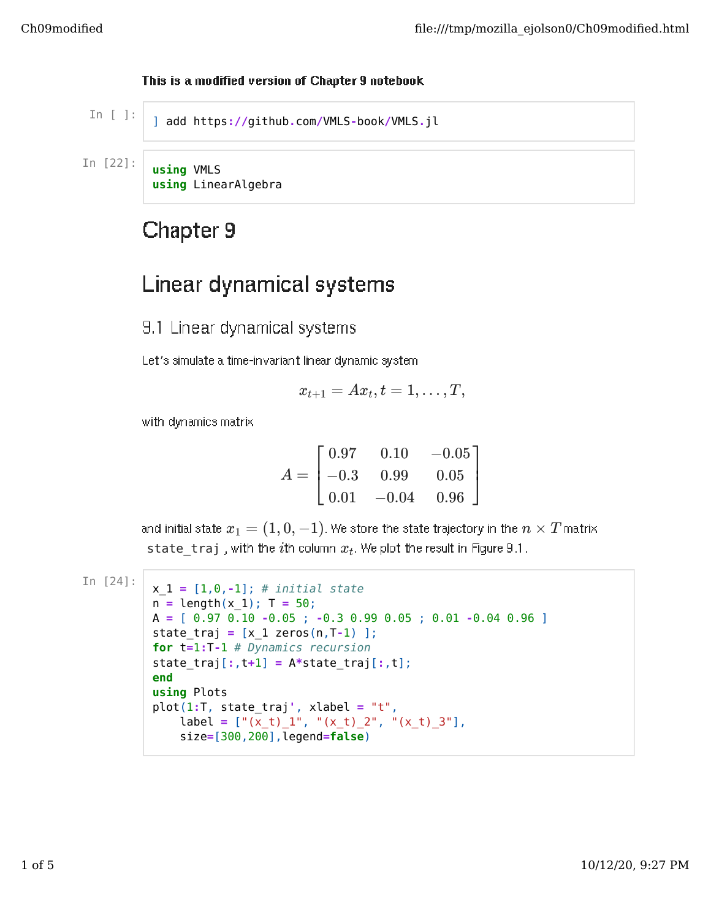## This is a modified version of Chapter 9 notebook

] add https**://**github**.**com**/**VMLS**-**book**/**VMLS**.**jl **using** VMLS **using** LinearAlgebra

## Chapter 9

## Linear dynamical systems

9.1 Linear dynamical systems

Let's simulate a time-invariant linear dynamic system

$$
x_{t+1} = Ax_t, t = 1, \ldots, T,
$$

with dynamics matrix

$$
A = \begin{bmatrix} 0.97 & 0.10 & -0.05 \\ -0.3 & 0.99 & 0.05 \\ 0.01 & -0.04 & 0.96 \end{bmatrix}
$$

and initial state  $x_1 = (1, 0, -1)$ . We store the state trajectory in the  $n \times T$  matrix  $\mathsf{state}\_\mathsf{traj}$  , with the  $i$ th column  $x_t$ . We plot the result in Figure 9.1.

```
In [24]:
x_1 = [1,0,-1]; # initial state
n = length(x 1); T = 50;
A = [ 0.97 0.10 -0.05 ; -0.3 0.99 0.05 ; 0.01 -0.04 0.96 ]
state_traj = [x_1 zeros(n,T-1) ];
for t=1:T-1 # Dynamics recursion
state_traj[:,t+1] = A*state_traj[:,t];
end
using Plots
plot(1:T, state_traj', xlabel = "t",
    label = ["(x_t)_1", [(x_t)_2", [(x_t)_3"],
    size=[300,200],legend=false)
```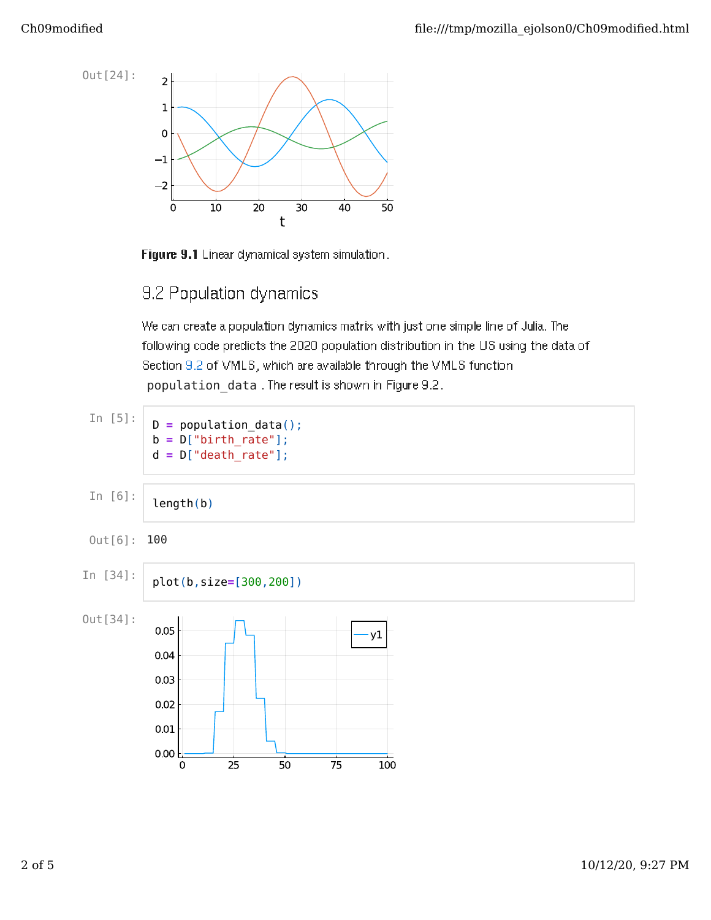

Figure 9.1 Linear dynamical system simulation.

## 9.2 Population dynamics

We can create a population dynamics matrix with just one simple line of Julia. The following code predicts the 2020 population distribution in the US using the data of Section 9.2 of VMLS, which are available through the VMLS function population\_data . The result is shown in Figure 9.2.

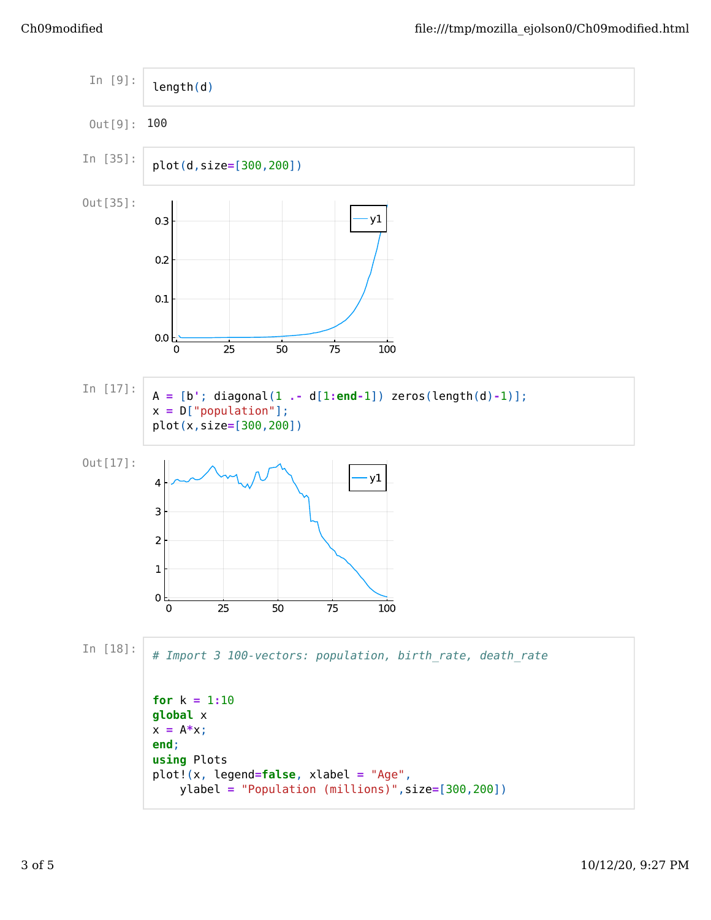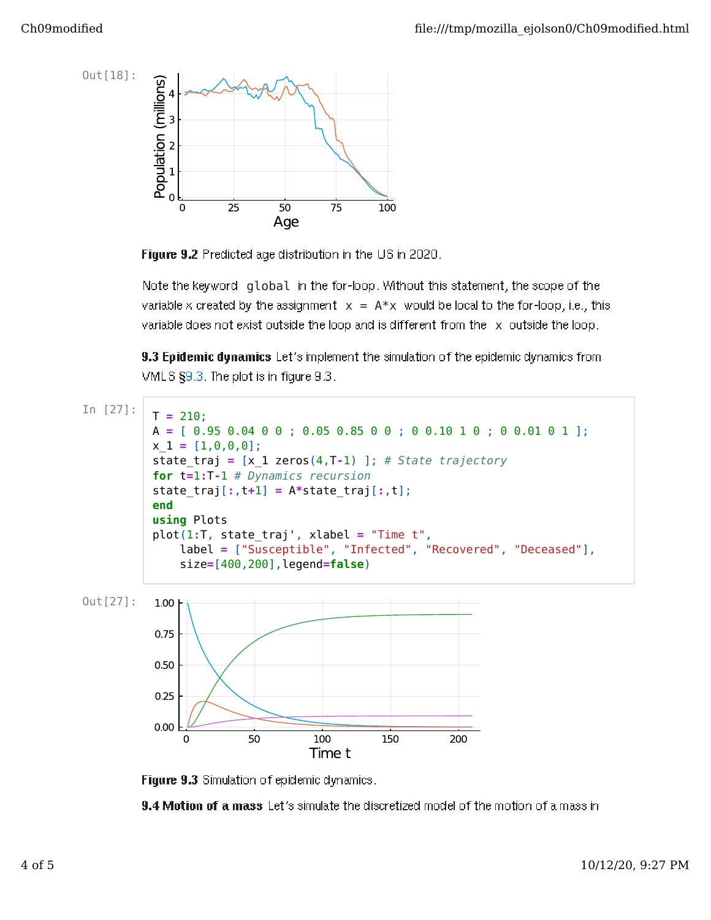

Figure 9.2 Predicted age distribution in the US in 2020.

Note the keyword global in the for-loop. Without this statement, the scope of the variable x created by the assignment  $x = A^*x$  would be local to the for-loop, i.e., this variable does not exist outside the loop and is different from the x outside the loop.

9.3 Epidemic dynamics Let's implement the simulation of the epidemic dynamics from VMLS §9.3. The plot is in figure 9.3.



Figure 9.3 Simulation of epidemic dynamics.

9.4 Motion of a mass Let's simulate the discretized model of the motion of a mass in